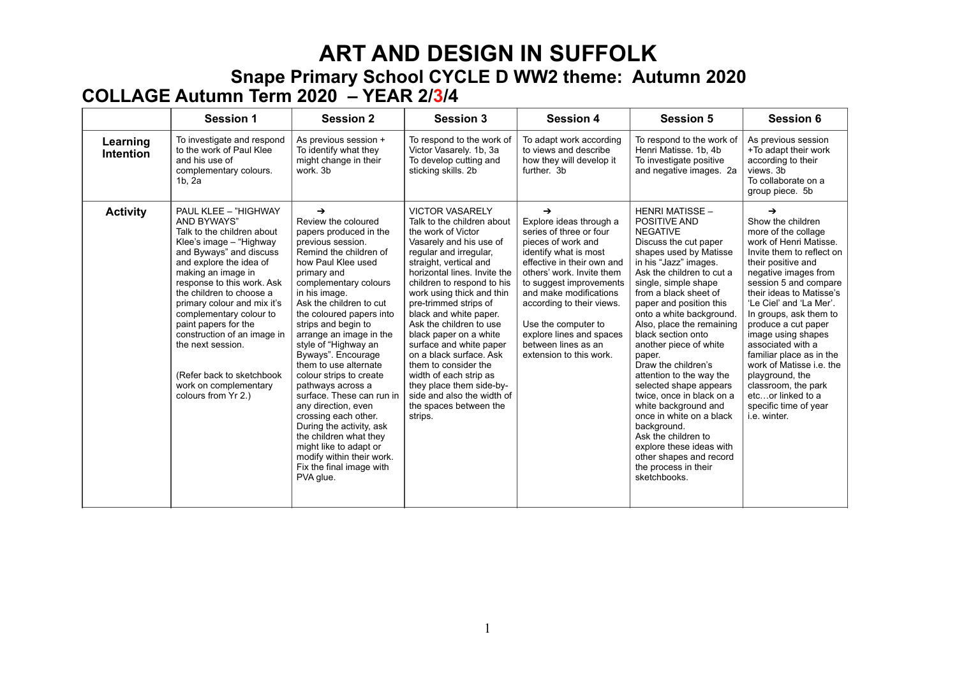# **ART AND DESIGN IN SUFFOLK**

**Snape Primary School CYCLE D WW2 theme: Autumn 2020**

#### **COLLAGE Autumn Term 2020 – YEAR 2/3/4**

|                              | <b>Session 1</b>                                                                                                                                                                                                                                                                                                                                                                                                                                             | <b>Session 2</b>                                                                                                                                                                                                                                                                                                                                                                                                                                                                                                                                                                                                                                               | <b>Session 3</b>                                                                                                                                                                                                                                                                                                                                                                                                                                                                                                                                                    | <b>Session 4</b>                                                                                                                                                                                                                                                                                                                                         | <b>Session 5</b>                                                                                                                                                                                                                                                                                                                                                                                                                                                                                                                                                                                                                                                     | <b>Session 6</b>                                                                                                                                                                                                                                                                                                                                                                                                                                                                               |
|------------------------------|--------------------------------------------------------------------------------------------------------------------------------------------------------------------------------------------------------------------------------------------------------------------------------------------------------------------------------------------------------------------------------------------------------------------------------------------------------------|----------------------------------------------------------------------------------------------------------------------------------------------------------------------------------------------------------------------------------------------------------------------------------------------------------------------------------------------------------------------------------------------------------------------------------------------------------------------------------------------------------------------------------------------------------------------------------------------------------------------------------------------------------------|---------------------------------------------------------------------------------------------------------------------------------------------------------------------------------------------------------------------------------------------------------------------------------------------------------------------------------------------------------------------------------------------------------------------------------------------------------------------------------------------------------------------------------------------------------------------|----------------------------------------------------------------------------------------------------------------------------------------------------------------------------------------------------------------------------------------------------------------------------------------------------------------------------------------------------------|----------------------------------------------------------------------------------------------------------------------------------------------------------------------------------------------------------------------------------------------------------------------------------------------------------------------------------------------------------------------------------------------------------------------------------------------------------------------------------------------------------------------------------------------------------------------------------------------------------------------------------------------------------------------|------------------------------------------------------------------------------------------------------------------------------------------------------------------------------------------------------------------------------------------------------------------------------------------------------------------------------------------------------------------------------------------------------------------------------------------------------------------------------------------------|
| Learning<br><b>Intention</b> | To investigate and respond<br>to the work of Paul Klee<br>and his use of<br>complementary colours.<br>1b, 2a                                                                                                                                                                                                                                                                                                                                                 | As previous session +<br>To identify what they<br>might change in their<br>work. 3b                                                                                                                                                                                                                                                                                                                                                                                                                                                                                                                                                                            | To respond to the work of<br>Victor Vasarely, 1b, 3a<br>To develop cutting and<br>sticking skills. 2b                                                                                                                                                                                                                                                                                                                                                                                                                                                               | To adapt work according<br>to views and describe<br>how they will develop it<br>further. 3b                                                                                                                                                                                                                                                              | To respond to the work of<br>Henri Matisse, 1b, 4b<br>To investigate positive<br>and negative images. 2a                                                                                                                                                                                                                                                                                                                                                                                                                                                                                                                                                             | As previous session<br>+To adapt their work<br>according to their<br>views. 3b<br>To collaborate on a<br>group piece. 5b                                                                                                                                                                                                                                                                                                                                                                       |
| <b>Activity</b>              | PAUL KLEE - "HIGHWAY<br><b>AND BYWAYS"</b><br>Talk to the children about<br>Klee's image - "Highway<br>and Byways" and discuss<br>and explore the idea of<br>making an image in<br>response to this work. Ask<br>the children to choose a<br>primary colour and mix it's<br>complementary colour to<br>paint papers for the<br>construction of an image in<br>the next session.<br>(Refer back to sketchbook<br>work on complementary<br>colours from Yr 2.) | $\rightarrow$<br>Review the coloured<br>papers produced in the<br>previous session.<br>Remind the children of<br>how Paul Klee used<br>primary and<br>complementary colours<br>in his image.<br>Ask the children to cut<br>the coloured papers into<br>strips and begin to<br>arrange an image in the<br>style of "Highway an<br>Byways". Encourage<br>them to use alternate<br>colour strips to create<br>pathways across a<br>surface. These can run in<br>any direction, even<br>crossing each other.<br>During the activity, ask<br>the children what they<br>might like to adapt or<br>modify within their work.<br>Fix the final image with<br>PVA glue. | <b>VICTOR VASARELY</b><br>Talk to the children about<br>the work of Victor<br>Vasarely and his use of<br>regular and irregular,<br>straight, vertical and<br>horizontal lines. Invite the<br>children to respond to his<br>work using thick and thin<br>pre-trimmed strips of<br>black and white paper.<br>Ask the children to use<br>black paper on a white<br>surface and white paper<br>on a black surface. Ask<br>them to consider the<br>width of each strip as<br>they place them side-by-<br>side and also the width of<br>the spaces between the<br>strips. | →<br>Explore ideas through a<br>series of three or four<br>pieces of work and<br>identify what is most<br>effective in their own and<br>others' work. Invite them<br>to suggest improvements<br>and make modifications<br>according to their views.<br>Use the computer to<br>explore lines and spaces<br>between lines as an<br>extension to this work. | <b>HENRI MATISSE -</b><br>POSITIVE AND<br><b>NEGATIVE</b><br>Discuss the cut paper<br>shapes used by Matisse<br>in his "Jazz" images.<br>Ask the children to cut a<br>single, simple shape<br>from a black sheet of<br>paper and position this<br>onto a white background.<br>Also, place the remaining<br>black section onto<br>another piece of white<br>paper.<br>Draw the children's<br>attention to the way the<br>selected shape appears<br>twice, once in black on a<br>white background and<br>once in white on a black<br>background.<br>Ask the children to<br>explore these ideas with<br>other shapes and record<br>the process in their<br>sketchbooks. | →<br>Show the children<br>more of the collage<br>work of Henri Matisse.<br>Invite them to reflect on<br>their positive and<br>negative images from<br>session 5 and compare<br>their ideas to Matisse's<br>'Le Ciel' and 'La Mer'.<br>In groups, ask them to<br>produce a cut paper<br>image using shapes<br>associated with a<br>familiar place as in the<br>work of Matisse i.e. the<br>playground, the<br>classroom, the park<br>etcor linked to a<br>specific time of year<br>i.e. winter. |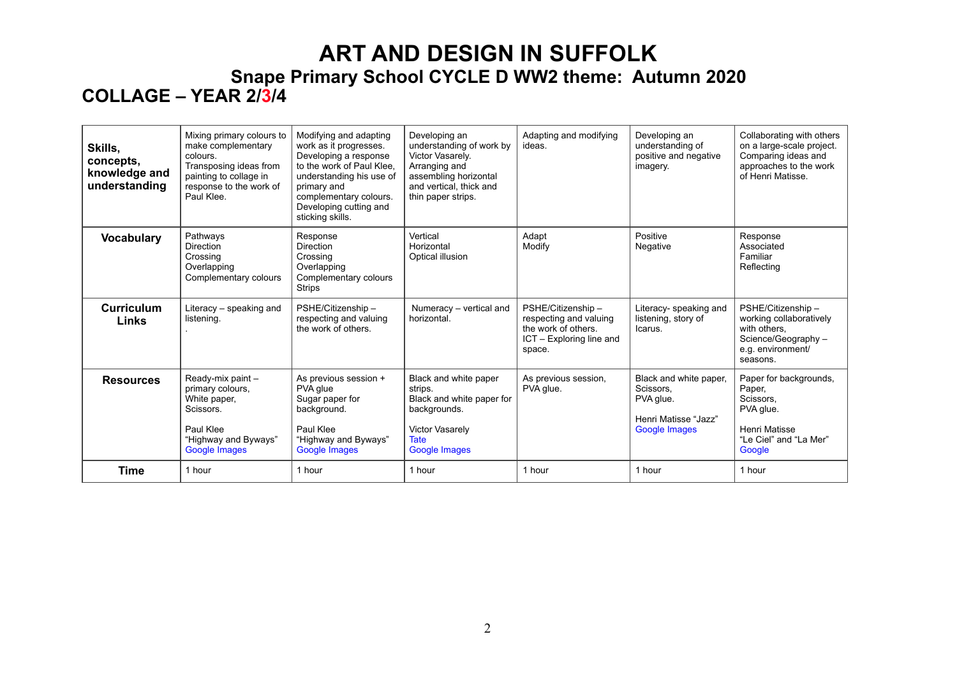## **ART AND DESIGN IN SUFFOLK Snape Primary School CYCLE D WW2 theme: Autumn 2020**

### **COLLAGE – YEAR 2/3/4**

| Skills,<br>concepts.<br>knowledge and<br>understanding | Mixing primary colours to<br>make complementary<br>colours.<br>Transposing ideas from<br>painting to collage in<br>response to the work of<br>Paul Klee. | Modifying and adapting<br>work as it progresses.<br>Developing a response<br>to the work of Paul Klee.<br>understanding his use of<br>primary and<br>complementary colours.<br>Developing cutting and<br>sticking skills. | Developing an<br>understanding of work by<br>Victor Vasarely.<br>Arranging and<br>assembling horizontal<br>and vertical, thick and<br>thin paper strips. | Adapting and modifying<br>ideas.                                                                          | Developing an<br>understanding of<br>positive and negative<br>imagery.                    | Collaborating with others<br>on a large-scale project.<br>Comparing ideas and<br>approaches to the work<br>of Henri Matisse. |
|--------------------------------------------------------|----------------------------------------------------------------------------------------------------------------------------------------------------------|---------------------------------------------------------------------------------------------------------------------------------------------------------------------------------------------------------------------------|----------------------------------------------------------------------------------------------------------------------------------------------------------|-----------------------------------------------------------------------------------------------------------|-------------------------------------------------------------------------------------------|------------------------------------------------------------------------------------------------------------------------------|
| <b>Vocabulary</b>                                      | Pathways<br><b>Direction</b><br>Crossing<br>Overlapping<br>Complementary colours                                                                         | Response<br>Direction<br>Crossing<br>Overlapping<br>Complementary colours<br>Strips                                                                                                                                       | Vertical<br>Horizontal<br>Optical illusion                                                                                                               | Adapt<br>Modify                                                                                           | Positive<br>Negative                                                                      | Response<br>Associated<br>Familiar<br>Reflecting                                                                             |
| <b>Curriculum</b><br>Links                             | Literacy - speaking and<br>listening.                                                                                                                    | PSHE/Citizenship-<br>respecting and valuing<br>the work of others.                                                                                                                                                        | Numeracy - vertical and<br>horizontal.                                                                                                                   | PSHE/Citizenship -<br>respecting and valuing<br>the work of others.<br>ICT - Exploring line and<br>space. | Literacy- speaking and<br>listening, story of<br>Icarus.                                  | PSHE/Citizenship-<br>working collaboratively<br>with others.<br>Science/Geography-<br>e.g. environment/<br>seasons.          |
| <b>Resources</b>                                       | Ready-mix paint $-$<br>primary colours.<br>White paper,<br>Scissors.<br>Paul Klee<br>"Highway and Byways"<br><b>Google Images</b>                        | As previous session +<br>PVA glue<br>Sugar paper for<br>background.<br>Paul Klee<br>"Highway and Byways"<br>Google Images                                                                                                 | Black and white paper<br>strips.<br>Black and white paper for<br>backgrounds.<br>Victor Vasarely<br><b>Tate</b><br>Google Images                         | As previous session.<br>PVA glue.                                                                         | Black and white paper,<br>Scissors.<br>PVA glue.<br>Henri Matisse "Jazz"<br>Google Images | Paper for backgrounds,<br>Paper,<br>Scissors.<br>PVA glue.<br><b>Henri Matisse</b><br>"Le Ciel" and "La Mer"<br>Google       |
| <b>Time</b>                                            | 1 hour                                                                                                                                                   | 1 hour                                                                                                                                                                                                                    | 1 hour                                                                                                                                                   | 1 hour                                                                                                    | 1 hour                                                                                    | 1 hour                                                                                                                       |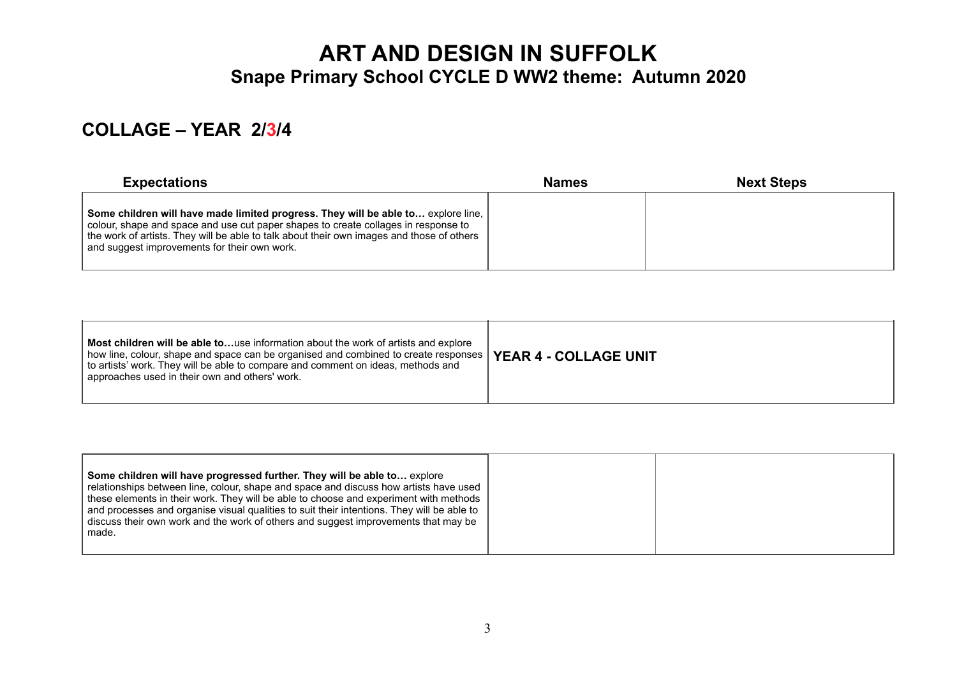## **ART AND DESIGN IN SUFFOLK Snape Primary School CYCLE D WW2 theme: Autumn 2020**

#### **COLLAGE – YEAR 2/3/4**

| <b>Expectations</b>                                                                                                                                                                                                                                                                                                  | <b>Names</b> | <b>Next Steps</b> |
|----------------------------------------------------------------------------------------------------------------------------------------------------------------------------------------------------------------------------------------------------------------------------------------------------------------------|--------------|-------------------|
| Some children will have made limited progress. They will be able to explore line,<br>colour, shape and space and use cut paper shapes to create collages in response to<br>the work of artists. They will be able to talk about their own images and those of others<br>and suggest improvements for their own work. |              |                   |

| <b>Most children will be able to</b> use information about the work of artists and explore<br>$ $ how line, colour, shape and space can be organised and combined to create responses $ $ YEAR 4 - COLLAGE UNIT<br>to artists' work. They will be able to compare and comment on ideas, methods and<br>approaches used in their own and others' work. |  |
|-------------------------------------------------------------------------------------------------------------------------------------------------------------------------------------------------------------------------------------------------------------------------------------------------------------------------------------------------------|--|
|-------------------------------------------------------------------------------------------------------------------------------------------------------------------------------------------------------------------------------------------------------------------------------------------------------------------------------------------------------|--|

| Some children will have progressed further. They will be able to explore<br>relationships between line, colour, shape and space and discuss how artists have used<br>these elements in their work. They will be able to choose and experiment with methods<br>and processes and organise visual qualities to suit their intentions. They will be able to<br>$\mid$ discuss their own work and the work of others and suggest improvements that may be<br>made. |  |
|----------------------------------------------------------------------------------------------------------------------------------------------------------------------------------------------------------------------------------------------------------------------------------------------------------------------------------------------------------------------------------------------------------------------------------------------------------------|--|
|                                                                                                                                                                                                                                                                                                                                                                                                                                                                |  |